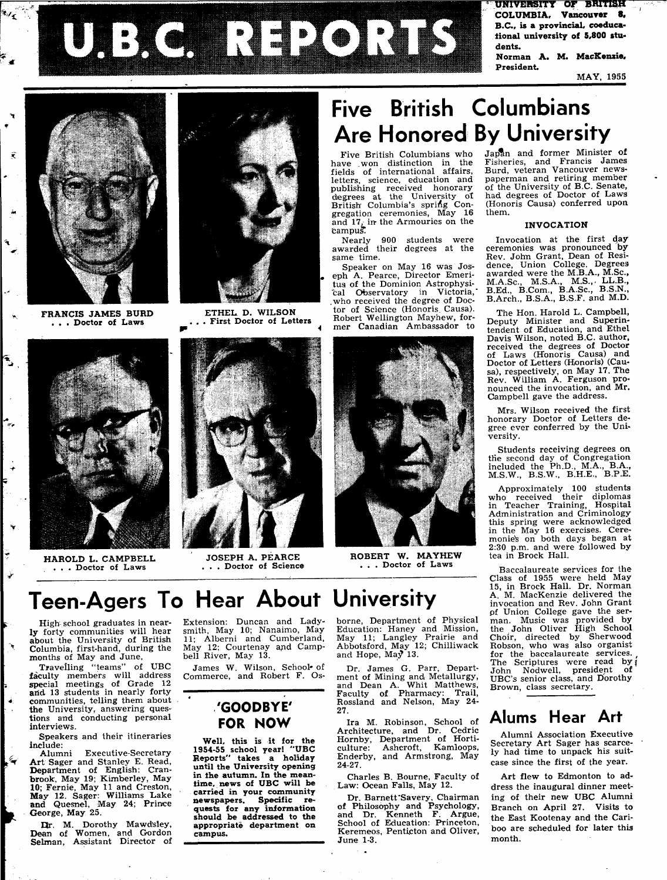**riVERSITY OF BH1T1SH COLUMBIA, Vancouver 8. B.C., is a provincial, coeducational university of 5,800 students.** 

**Norman A. M. MacKenzie.**  President.

MAY, 1955



 $\mathbf{v}_i$ 

Ê

 $\left| \begin{matrix} \bullet \ \bullet \ \bullet \end{matrix} \right|$ 

تي

 $\mathbf{\hat{r}}$ 

FRANCIS JAMES BURD . . . Doctor of Laws



HAROLD L. CAMPBELL . . . Doctor of Laws



UE: KOLLINORIKS

ETHEL D. WILSON . . . First Doctor of Letters

JOSEPH A. PEARCE , . . Doctor of Science



them.

Five British Columbians who have .won distinction in the fields of international affairs, letters, science, education and publishing received honorary degrees at the University of British Columbia's spring Congregation ceremonies, May 16 and 17, in the Armouries on the campus.

Nearly 900 students were awarded their degrees at the same time.

Speaker on May 16 was Joseph A. Pearce, Director Emeritus of the Dominion Astrophysical Observatory in Victoria, .who received the degree of Doctor of Science (Honoris. Causa). Robert Wellington Mayhew, former Canadian Ambassador to



ROBERT W. MAYHEW . . . Doctor of Laws

#### Japan and former Minister of Fisheries, and Francis James Burd, veteran Vancouver newspaperman and retiring member of the University of B.C. Senate, had degrees of Doctor of Laws (Honoris Oausa) conferred upon

#### **INVOCATION**

Invocation at the first day ceremonies was pronounced by Rev. John Grant, Dean of Residence, Union College. Degrees awarded were the M.B.A., M.Sc., M.A.Sc, M.S.A., M.S.,. LL.B., B.Ed., B.Com., B.A.Sc, B.S.N., B.Arch., B.S.A., B.S.F. and M.D.

The Hon. Harold L. Campbell, Deputy Minister and Superintendent of Education, and Ethel Davis Wilson, noted B.C. author, received the degrees of Doctor of Laws (Honoris Causa) and Doctor of Letters (Honoris) (Causa), respectively, on May 17. The Rev. William A. Ferguson pronounced the invocation, and Mr. Campbell gave the address.

Mrs. Wilson received the first honorary Doctor of Letters degree ever conferred by the University.

Students receiving degrees on the second day of Congregation included the Ph.D., M.A., B.A., M.S.W., B.S.W., B.H.E., B.P.E.

Approximately 100 students who received their diplomas in Teacher Training, Hospital Administration and Criminology this spring were acknowledged in the May 16 exercises. Ceremonies on both days began at 2:30 p.m. and were followed by tea in Brock Hall.

Baccalaureate services for the Class of 1955 were held May 15, in Brock Hall. Dr. Norman A. M. MacKenzie delivered the invocation and Rev. John Grant pf Union College gave the serman. Music was provided by the John Oliver High School Choir, directed by Sherwood Robson, who was also organist for the baccalaureate services. The Scriptures were read by i John Nodwell, president of UBC's senior class, and Dorothy Brown, class secretary.

### **Alums Hear Art**

Alumni Association Executive Secretary Art Sager has scarcely had time to unpack his suitcase since the first of the year.

Art flew to Edmonton to address the inaugural dinner meeting of their new UBC Alumni Branch on April 27. Visits to the East Kootenay and the Cariboo are scheduled for later this month.

# **Teen-Agers To Hear About University**

High school graduates in nearly forty communities will hear about the University of British Columbia, first-hand, during the months of May and June,

Travelling "teams" of UBC faculty members will address special meetings of Grade 12 and 13 students in nearly forty communities, telling them about **the** University, answering questions and conducting personal interviews.

Speakers and their itineraries include:<br>Alumni

 $\epsilon$ 

**Executive-Secretary** Art Sager and Stanley E. Read, Department of English: Cranbrook, May 19; Kimberley, May 10; Fernie, May 11 and Creston, May 12. Sager: Williams Lake and Quesnel, May 24; Prince George, May 25.

Dr. M. Dorothy Mawdsley, Dean of Women, and Gordon Selman, Assistant Director of

Extension: Duncan and Ladysmith, May 10; Nanaimo, May 11; Alberni and Cumberland, May 12; Courtenay and Campbell River, May 13.

James W. Wilson, School- of Commerce, and Robert F. Os-

### **'GOODBYE' FOR NOW**

Well, this is it for the 1954-55 school year! "UBC Reports" takes a holiday until the University opening in the autumn. In the meantime, news of UBC will be carried in your community newspapers. Specific requests for any information should be addressed to the appropriate department on campus.

borne, Department of Physical Education: Haney and Mission, May 11; Langley Prairie and Abbotsford, May 12; Chilliwack and Hope, May 13.

Dr. James G. Parr, Department of Mining and Metallurgy, and Dean A. Whit Matthews, Faculty of Pharmacy: Trail, Rossland and Nelson, May 24- 27.

Ira M. Robinson, School of Architecture, and Dr. Cedric Hornby, Department of Horticulture: Ashcroft, Kamloops, Enderby, and Armstrong, May 24-27.

Charles B. Bourne, Faculty of Law: Ocean Falls, May 12.

Dr. Barnett'Savery, Chairman of Philosophy and Psychology, and Dr. Kenneth F. Argue, School of Education: Princeton, Keremeos, Penticton and Oliver, June 1-3.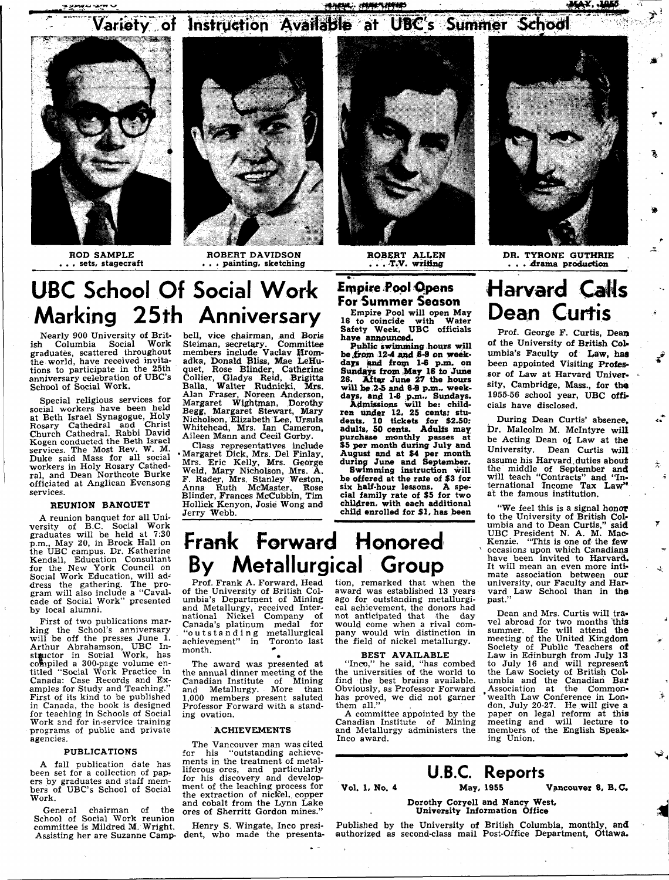**MANIA ANTO CONTRACT ANTIQUES**<br>Antiques and the second contract of the second contract of the second contract of the second contract of the s<br>Contract of the second contract of the second contract of the second contract o  $V$ ariety of Instruction Available at UBC's Summer School





ROD SAMPLE . . sets, stagecraft

ROBERT DAVIDSON . . . painting, sketching



ROBERT ALLEN . . . -T.V. writing



DR. TYRONE GUTHRIE . . . drama production

## **UBC School Of Social Work Marking 25th Anniversary**

Nearly 900 University of British Columbia Social Work graduates, scattered throughout the world, have received invitations to participate in the 25th anniversary celebration of UBC's School of Social Work.

Special religious services for social workers have been held at Beth Israel Synagogue, Holy Rosary Cathedral and Christ Church Cathedral. Rabbi David Kogen conducted the Beth Israel services. The Most Rev. W. M. Duke said Mass for all social workers in Holy Rosary Cathedral, and Dean Northcote Burke officiated at Anglican Evensong services.

#### REUNION BANQUET

A reunion banquet for all University of B.C. Social Work graduates will be held at 7:30 p.m., May 20, in Brock Hall on the UBC campus. Dr. Katherine Kendall, Education Consultant for the New York Council on Social Work Education, will address the gathering. The program will also include a "Cavalcade of Social Work" presented by local alumni.

First of two publications marking the School's anniversary will be off the presses June 1. Arthur Abrahamson, UBC Instructor in Social Work, has compiled a 300-page volume entitled "Social Work Practice in Canada: Case Records and Examples for Study and Teaching." First of its kind to be published in Canada, the book is designed for teaching in Schools of Social Work and for in-service training programs of public and private agencies.

#### PUBLICATIONS

A fall publication date has been set for a collection of papers by graduates and staff members of UBC's School of Social Work.

General chairman of the School of Social Work reunion committee is Mildred M. Wright. Assisting her are Suzanne Camp-dent, who made the presenta-

bell, vice chairman, and Boris<br>Steiman, secretary. Committee Steiman, secretary. Committee members include Vaclav Hromadka, Donald Bliss, Mae LeHuquet, Rose Blinder, Catherine Collier, Gladys Reid, Brigitta Balla, Walter Rudnicki, Mrs. Alan Fraser, Noreen Anderson, Margaret Wightman, Dorothy Begg, Margaret Stewart, Mary Nicholson, Elizabeth Lee, Ursula Whitehead, Mrs. Ian Cameron, Aileen Mann and Cecil Gorby.

Class representatives include •Margaret Dick, Mrs. Del Finlay, Mrs. Eric Kelly, Mrs. George Weld, Mary Nicholson, Mrs. A. F. Rader, Mrs. Stanley Weston, Anna Ruth McMaster, Rose Blinder, Frances McCubbin, Tim Hollick Kenyon, Josie Wong and Jerry Webb.

### **Empire Pool Opens For Summer Season**

Empire Pool will open May 16 to coincide with Water Safety Week, UBC officials have announced.

Public swimming hours will be from  $12-4$  and  $8-9$  on weekdays and from 1-6 p.m. on Sundays from May 16 to June 26. After June 27 the hours will *be* 2-5 and 6 4 p.m.. week-days, and 1-6 *p.m..* Sundays.

Admissions will be: children tinder 12, 25 cents; students, 10 tickets for \$2.50: adults, 50 cents. Adults may purchase monthly passes at \$5 per month during July and August and at \$4 per month during June and September.

Swimming instruction will be offered at the rate of \$3 for six half-hour lessons. A special family rate of \$5 for two children, with each additional child enrolled for *\$1.* has been **Harvard CaNs Dean Curtis** 

Prof. George F. Curtis, Dean of the University of British Columbia's Faculty of Law, has been appointed Visiting Professor of Law at Harvard University, Cambridge, Mass., for the 1955-56 school year, UBC officials have disclosed.

During Dean Curtis' absence, Dr. Malcolm M. Mclntyre will be Acting Dean of Law at the University. Dean Curtis will assume his Harvard.duties about assume ins furvary duties about will teach "Contracts" and "International Income Tax Law" at the famous institution.

÷.

 $\frac{1}{\alpha}$ 

 $\mathbf{v}$ 

 $\mathcal{L}$ 

"We feel this is a signal honor to the University of British Columbia and to Dean Curtis," said UBC President N. A. M. Mac-Kenzie. "This is one of the few occasions upon which Canadians have been invited to Harvard. It will mean an even more intimate association between our university, our Faculty and Harvard Law School than in the past."

Dean and Mrs. Curtis will travel abroad for two months this summer. He will attend the meeting of the United Kingdom Society of Public Teachers of Law in Edinburgh from July 13 to July 16 and will represent the Law Society of British Columbia and the Canadian Bar Association at the Common- 'wealth Law Conference in London, July 20-27. He will give a paper on legal reform at this meeting and will lecture to members of the English Speaking Union.

## **Frank Forward Honored By Metallurgical Group**

Prof. Frank A. Forward, Head of the University of British Columbia's Department of Mining and Metallurgy, received Inter-national Nickel Company of Canada's platinum medal for "outstandin g metallurgical achievement" in Toronto last  $month.$   $\bullet$ 

The award was presented at the annual dinner meeting of the Canadian Institute of Mining and Metallurgy. More than 1,000 members present saluted Professor Forward with a standing ovation.

#### ACHIEVEMENTS

The Vancouver man was cited<br>r his "outstanding achievefor his "outstanding achievements in the treatment of metalliferous ores, and particularly for his discovery and development of the leaching process for the extraction of nickel, copper and cobalt from the Lynn Lake ores of Sherritt Gordon mines."

Henry S. Wingate, Inco presi-

tion, remarked that when the award was established 13 years ago for outstanding metallurgical achievement, the donors had not anticipated that the day would come when a rival company would win distinction in the field of nickel metallurgy.

the universities of the world to find the best brains available. Obviously, as Professor Forward has proved, we did not garner them all."

Canadian Institute of Mining and Metallurgy administers the Inco award.

## **U.B.C. Reports**

Vol. 1, No. 4 May, 1955 Vancouver 8, B.C.

#### Dorothy Coryell and Nancy West, University Information Office

Published by the University of British Columbia, monthly, and authorized as second-class mail Post-Office Department, Ottawa.

BEST AVAILABLE "Inco," he said, "has combed

A committee appointed by the